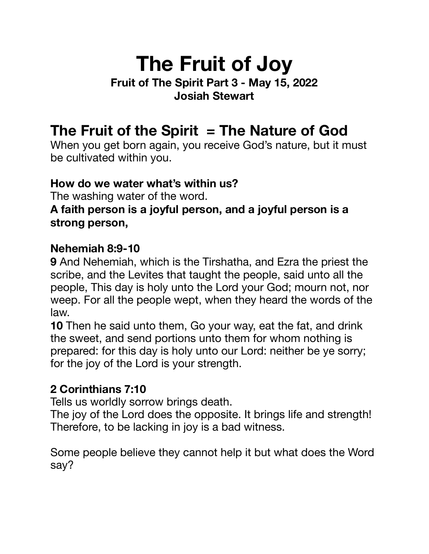# **The Fruit of Joy**

#### **Fruit of The Spirit Part 3 - May 15, 2022 Josiah Stewart**

# **The Fruit of the Spirit = The Nature of God**

When you get born again, you receive God's nature, but it must be cultivated within you.

#### **How do we water what's within us?**

The washing water of the word.

#### **A faith person is a joyful person, and a joyful person is a strong person,**

#### **Nehemiah 8:9-10**

**9** And Nehemiah, which is the Tirshatha, and Ezra the priest the scribe, and the Levites that taught the people, said unto all the people, This day is holy unto the Lord your God; mourn not, nor weep. For all the people wept, when they heard the words of the law.

**10** Then he said unto them, Go your way, eat the fat, and drink the sweet, and send portions unto them for whom nothing is prepared: for this day is holy unto our Lord: neither be ye sorry; for the joy of the Lord is your strength.

#### **2 Corinthians 7:10**

Tells us worldly sorrow brings death.

The joy of the Lord does the opposite. It brings life and strength! Therefore, to be lacking in joy is a bad witness.

Some people believe they cannot help it but what does the Word say?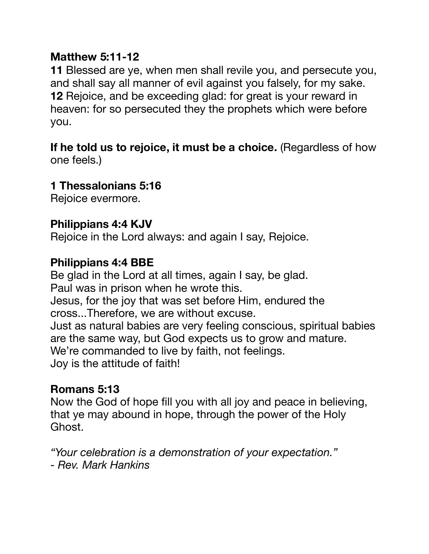#### **Matthew 5:11-12**

**11** Blessed are ye, when men shall revile you, and persecute you, and shall say all manner of evil against you falsely, for my sake. **12** Rejoice, and be exceeding glad: for great is your reward in heaven: for so persecuted they the prophets which were before you.

If he told us to rejoice, it must be a choice. (Regardless of how one feels.)

#### **1 Thessalonians 5:16**

Rejoice evermore.

#### **Philippians 4:4 KJV**

Rejoice in the Lord always: and again I say, Rejoice.

#### **Philippians 4:4 BBE**

Be glad in the Lord at all times, again I say, be glad. Paul was in prison when he wrote this. Jesus, for the joy that was set before Him, endured the cross...Therefore, we are without excuse. Just as natural babies are very feeling conscious, spiritual babies are the same way, but God expects us to grow and mature. We're commanded to live by faith, not feelings. Joy is the attitude of faith!

## **Romans 5:13**

Now the God of hope fill you with all joy and peace in believing, that ye may abound in hope, through the power of the Holy Ghost.

*"Your celebration is a demonstration of your expectation." - Rev. Mark Hankins*